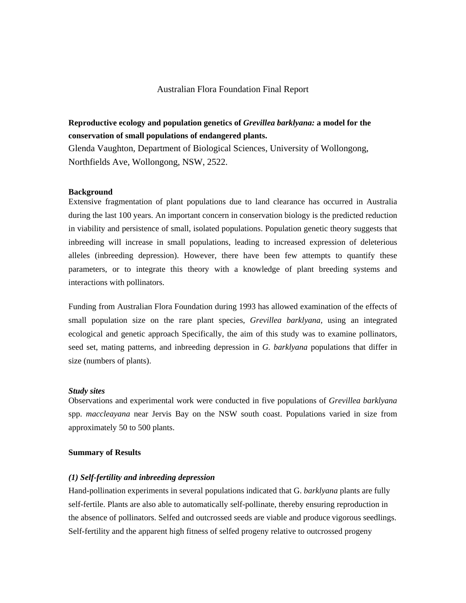## Australian Flora Foundation Final Report

# **Reproductive ecology and population genetics of** *Grevillea barklyana:* **a model for the conservation of small populations of endangered plants.**

Glenda Vaughton, Department of Biological Sciences, University of Wollongong, Northfields Ave, Wollongong, NSW, 2522.

#### **Background**

Extensive fragmentation of plant populations due to land clearance has occurred in Australia during the last 100 years. An important concern in conservation biology is the predicted reduction in viability and persistence of small, isolated populations. Population genetic theory suggests that inbreeding will increase in small populations, leading to increased expression of deleterious alleles (inbreeding depression). However, there have been few attempts to quantify these parameters, or to integrate this theory with a knowledge of plant breeding systems and interactions with pollinators.

Funding from Australian Flora Foundation during 1993 has allowed examination of the effects of small population size on the rare plant species, *Grevillea barklyana,* using an integrated ecological and genetic approach Specifically, the aim of this study was to examine pollinators, seed set, mating patterns, and inbreeding depression in *G. barklyana* populations that differ in size (numbers of plants).

#### *Study sites*

Observations and experimental work were conducted in five populations of *Grevillea barklyana*  spp. *maccleayana* near Jervis Bay on the NSW south coast. Populations varied in size from approximately 50 to 500 plants.

### **Summary of Results**

#### *(1) Self-fertility and inbreeding depression*

Hand-pollination experiments in several populations indicated that G. *barklyana* plants are fully self-fertile. Plants are also able to automatically self-pollinate, thereby ensuring reproduction in the absence of pollinators. Selfed and outcrossed seeds are viable and produce vigorous seedlings. Self-fertility and the apparent high fitness of selfed progeny relative to outcrossed progeny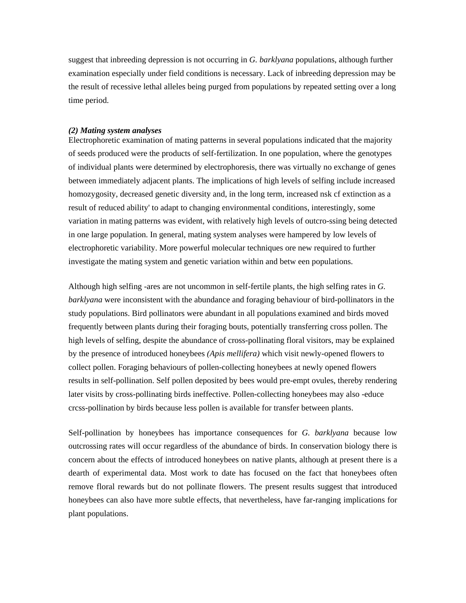suggest that inbreeding depression is not occurring in *G. barklyana* populations, although further examination especially under field conditions is necessary. Lack of inbreeding depression may be the result of recessive lethal alleles being purged from populations by repeated setting over a long time period.

#### *(2) Mating system analyses*

Electrophoretic examination of mating patterns in several populations indicated that the majority of seeds produced were the products of self-fertilization. In one population, where the genotypes of individual plants were determined by electrophoresis, there was virtually no exchange of genes between immediately adjacent plants. The implications of high levels of selfing include increased homozygosity, decreased genetic diversity and, in the long term, increased nsk cf extinction as a result of reduced ability' to adapt to changing environmental conditions, interestingly, some variation in mating patterns was evident, with relatively high levels of outcro-ssing being detected in one large population. In general, mating system analyses were hampered by low levels of electrophoretic variability. More powerful molecular techniques ore new required to further investigate the mating system and genetic variation within and betw een populations.

Although high selfing -ares are not uncommon in self-fertile plants, the high selfing rates in *G. barklyana* were inconsistent with the abundance and foraging behaviour of bird-pollinators in the study populations. Bird pollinators were abundant in all populations examined and birds moved frequently between plants during their foraging bouts, potentially transferring cross pollen. The high levels of selfing, despite the abundance of cross-pollinating floral visitors, may be explained by the presence of introduced honeybees *(Apis mellifera)* which visit newly-opened flowers to collect pollen. Foraging behaviours of pollen-collecting honeybees at newly opened flowers results in self-pollination. Self pollen deposited by bees would pre-empt ovules, thereby rendering later visits by cross-pollinating birds ineffective. Pollen-collecting honeybees may also -educe crcss-pollination by birds because less pollen is available for transfer between plants.

Self-pollination by honeybees has importance consequences for *G. barklyana* because low outcrossing rates will occur regardless of the abundance of birds. In conservation biology there is concern about the effects of introduced honeybees on native plants, although at present there is a dearth of experimental data. Most work to date has focused on the fact that honeybees often remove floral rewards but do not pollinate flowers. The present results suggest that introduced honeybees can also have more subtle effects, that nevertheless, have far-ranging implications for plant populations.